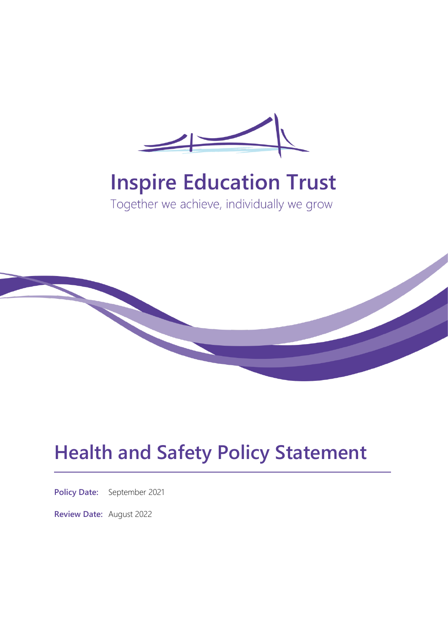

## **Inspire Education Trust**

Together we achieve, individually we grow



## **Health and Safety Policy Statement**

**Policy Date:** September 2021

**Review Date:** August 2022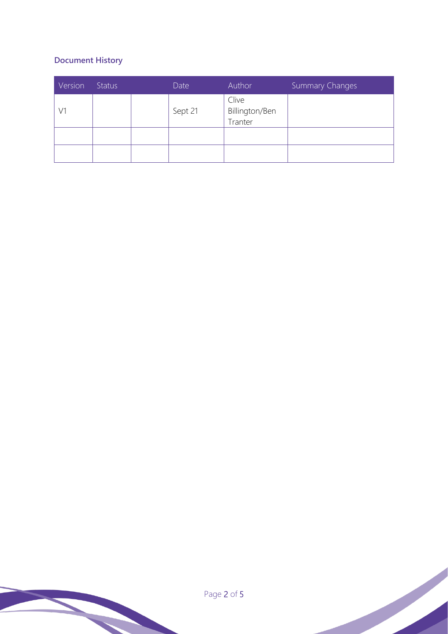## **Document History**

| Version | <b>Status</b> | Date    | Author                             | <b>Summary Changes</b> |
|---------|---------------|---------|------------------------------------|------------------------|
| V1      |               | Sept 21 | Clive<br>Billington/Ben<br>Tranter |                        |
|         |               |         |                                    |                        |
|         |               |         |                                    |                        |

Page 2 of 5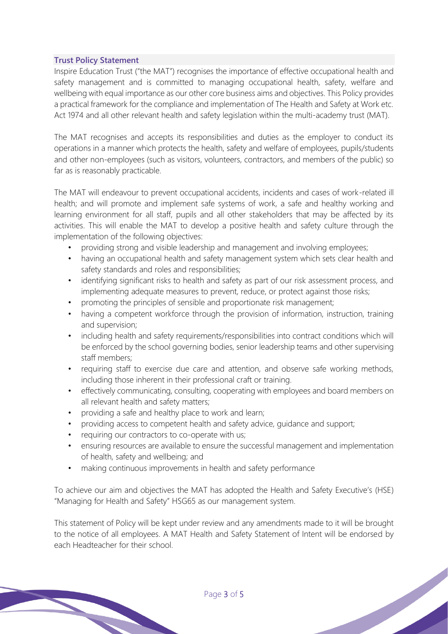## **Trust Policy Statement**

Inspire Education Trust ("the MAT") recognises the importance of effective occupational health and safety management and is committed to managing occupational health, safety, welfare and wellbeing with equal importance as our other core business aims and objectives. This Policy provides a practical framework for the compliance and implementation of The Health and Safety at Work etc. Act 1974 and all other relevant health and safety legislation within the multi-academy trust (MAT).

The MAT recognises and accepts its responsibilities and duties as the employer to conduct its operations in a manner which protects the health, safety and welfare of employees, pupils/students and other non-employees (such as visitors, volunteers, contractors, and members of the public) so far as is reasonably practicable.

The MAT will endeavour to prevent occupational accidents, incidents and cases of work-related ill health; and will promote and implement safe systems of work, a safe and healthy working and learning environment for all staff, pupils and all other stakeholders that may be affected by its activities. This will enable the MAT to develop a positive health and safety culture through the implementation of the following objectives:

- providing strong and visible leadership and management and involving employees;
- having an occupational health and safety management system which sets clear health and safety standards and roles and responsibilities;
- identifying significant risks to health and safety as part of our risk assessment process, and implementing adequate measures to prevent, reduce, or protect against those risks;
- promoting the principles of sensible and proportionate risk management;
- having a competent workforce through the provision of information, instruction, training and supervision;
- including health and safety requirements/responsibilities into contract conditions which will be enforced by the school governing bodies, senior leadership teams and other supervising staff members;
- requiring staff to exercise due care and attention, and observe safe working methods, including those inherent in their professional craft or training.
- effectively communicating, consulting, cooperating with employees and board members on all relevant health and safety matters;
- providing a safe and healthy place to work and learn;
- providing access to competent health and safety advice, guidance and support;
- requiring our contractors to co-operate with us;
- ensuring resources are available to ensure the successful management and implementation of health, safety and wellbeing; and
- making continuous improvements in health and safety performance

To achieve our aim and objectives the MAT has adopted the Health and Safety Executive's (HSE) "Managing for Health and Safety" HSG65 as our management system.

This statement of Policy will be kept under review and any amendments made to it will be brought to the notice of all employees. A MAT Health and Safety Statement of Intent will be endorsed by each Headteacher for their school.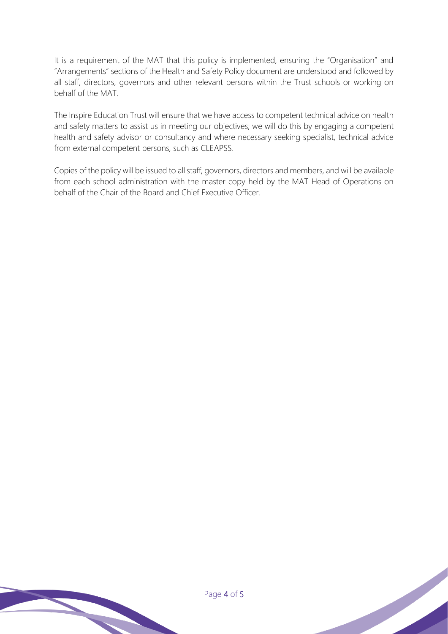It is a requirement of the MAT that this policy is implemented, ensuring the "Organisation" and "Arrangements" sections of the Health and Safety Policy document are understood and followed by all staff, directors, governors and other relevant persons within the Trust schools or working on behalf of the MAT.

The Inspire Education Trust will ensure that we have access to competent technical advice on health and safety matters to assist us in meeting our objectives; we will do this by engaging a competent health and safety advisor or consultancy and where necessary seeking specialist, technical advice from external competent persons, such as CLEAPSS.

Copies of the policy will be issued to all staff, governors, directors and members, and will be available from each school administration with the master copy held by the MAT Head of Operations on behalf of the Chair of the Board and Chief Executive Officer.